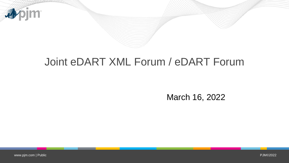

## Joint eDART XML Forum / eDART Forum

March 16, 2022

www.pjm.com | Public PJM©2022\_PJM©2022\_PJM©2022\_PJM©2022\_PJM\_\_\_\_\_\_\_\_\_\_\_\_\_\_\_\_\_\_\_\_\_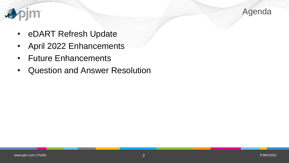



- eDART Refresh Update
- April 2022 Enhancements
- Future Enhancements
- Question and Answer Resolution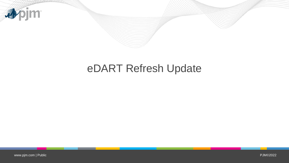

## eDART Refresh Update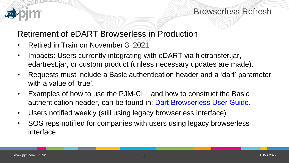

#### Retirement of eDART Browserless in Production

- Retired in Train on November 3, 2021
- Impacts: Users currently integrating with eDART via filetransfer.jar, edartrest.jar, or custom product (unless necessary updates are made).
- Requests must include a Basic authentication header and a 'dart' parameter with a value of 'true'.
- Examples of how to use the PJM-CLI, and how to construct the Basic authentication header, can be found in: [Dart Browserless User Guide](http://www.pjm.com/pub/etools/edart/xmldocs/dart-browserless-user-guide.pdf).
- Users notified weekly (still using legacy browserless interface)
- SOS reps notified for companies with users using legacy browserless interface.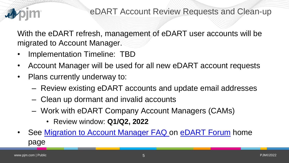

With the eDART refresh, management of eDART user accounts will be migrated to Account Manager.

- Implementation Timeline: TBD
- Account Manager will be used for all new eDART account requests
- Plans currently underway to:
	- Review existing eDART accounts and update email addresses
	- Clean up dormant and invalid accounts
	- Work with eDART Company Account Managers (CAMs)
		- Review window: **Q1/Q2, 2022**
- See [Migration to Account Manager FAQ o](https://pjm.com/-/media/committees-groups/forums/edart/postings/migration-to-account-manager-faq.ashx)n [eDART Forum](https://pjm.com/committees-and-groups/forums/edart-forum) home page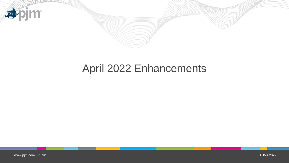

# April 2022 Enhancements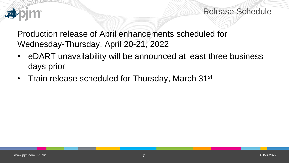

Release Schedule

Production release of April enhancements scheduled for Wednesday-Thursday, April 20-21, 2022

- eDART unavailability will be announced at least three business days prior
- Train release scheduled for Thursday, March 31<sup>st</sup>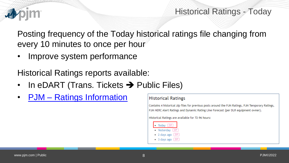

#### Historical Ratings - Today

Posting frequency of the Today historical ratings file changing from every 10 minutes to once per hour

• Improve system performance

Historical Ratings reports available:

- In eDART (Trans. Tickets  $\rightarrow$  Public Files)
- PJM [Ratings Information](https://www.pjm.com/markets-and-operations/etools/oasis/system-information/ratings-information)

#### **Historical Ratings**

Contains 4 historical zip files for previous posts around the PJM Ratings, PJM Temporary Ratings, PJM NERC Alert Ratings and Dynamic Rating Line Forecast (per DLR equipment owner).

Historical Ratings are available for 72-96 hours:

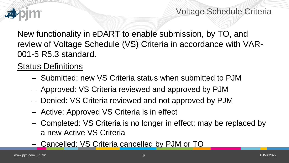

New functionality in eDART to enable submission, by TO, and review of Voltage Schedule (VS) Criteria in accordance with VAR-001-5 R5.3 standard.

#### Status Definitions

- Submitted: new VS Criteria status when submitted to PJM
- Approved: VS Criteria reviewed and approved by PJM
- Denied: VS Criteria reviewed and not approved by PJM
- Active: Approved VS Criteria is in effect
- Completed: VS Criteria is no longer in effect; may be replaced by a new Active VS Criteria
- Cancelled: VS Criteria cancelled by PJM or TO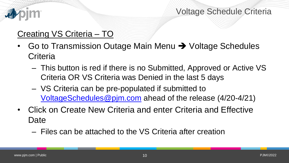

### Creating VS Criteria – TO

- Go to Transmission Outage Main Menu  $\rightarrow$  Voltage Schedules **Criteria** 
	- This button is red if there is no Submitted, Approved or Active VS Criteria OR VS Criteria was Denied in the last 5 days
	- VS Criteria can be pre-populated if submitted to [VoltageSchedules@pjm.com](mailto:VoltageSchedules@pjm.com) ahead of the release (4/20-4/21)
- Click on Create New Criteria and enter Criteria and Effective Date
	- Files can be attached to the VS Criteria after creation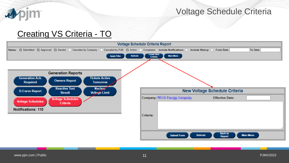

#### Creating VS Criteria - TO

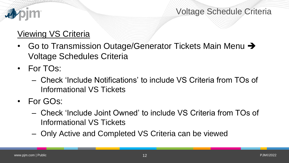

## Viewing VS Criteria

- Go to Transmission Outage/Generator Tickets Main Menu  $\rightarrow$ Voltage Schedules Criteria
- For TOs:
	- Check 'Include Notifications' to include VS Criteria from TOs of Informational VS Tickets
- For GOs:
	- Check 'Include Joint Owned' to include VS Criteria from TOs of Informational VS Tickets
	- Only Active and Completed VS Criteria can be viewed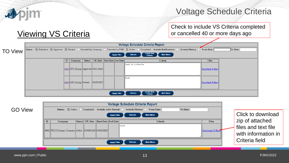

**Viewing VS Criteria** 

#### Voltage Schedule Criteria

Check to include VS Criteria completed or cancelled 40 or more days ago

#### **Voltage Schedule Criteria Report** Status: Submitted Mapproved Monied | Canceled by Company | Canceled by PJM MActive | Completed Include Notifications: | Include History: From Date: To Date: TO View **Create New**<br>Criteria **Main Menu Apply Filter Refresh Eff. Date Start Date End Date ID** Company **Status** Criteria **Files** Test VS Criteria 4662 Approved 03/31/2022 Download (2 files) Test 4684 **... The Denied**  $\|03/29/2022\|$ Download (0 files) Create New<br>Criteria **Main Menu Apply Filter** Refresh

| <b>GO View</b> | Status: Active Completed Include Joint Owned: C Include History: C From Date: |                |                                      | Click to download |                   |                                            |
|----------------|-------------------------------------------------------------------------------|----------------|--------------------------------------|-------------------|-------------------|--------------------------------------------|
|                | Company                                                                       |                | Status Eff. Date Start Date End Date | Criteria          | <b>Files</b>      | zip of attached                            |
|                | 4682 4682 3/09/2022 3/09/2022 4682                                            |                |                                      | ltest             | Download (2 files | files and text file<br>with information in |
|                |                                                                               | Criteria field |                                      |                   |                   |                                            |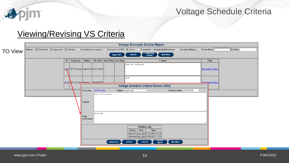

#### Viewing/Revising VS Criteria

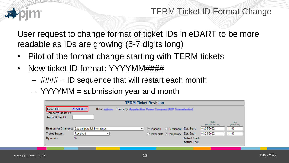

#### TERM Ticket ID Format Change

User request to change format of ticket IDs in eDART to be more readable as IDs are growing (6-7 digits long)

- Pilot of the format change starting with TERM tickets
- New ticket ID format: YYYYMM####
	- $-$  #### = ID sequence that will restart each month
	- YYYYMM = submission year and month

| <b>TERM Ticket Revision</b>                                                                                                                                                                                                           |           |             |              |  |                                   |                                            |                             |                   |  |  |  |  |
|---------------------------------------------------------------------------------------------------------------------------------------------------------------------------------------------------------------------------------------|-----------|-------------|--------------|--|-----------------------------------|--------------------------------------------|-----------------------------|-------------------|--|--|--|--|
| Ticket ID:<br>2022030078<br>$Use r: r: r: r: r: r: r: r: r: r: r: r: r: r: r: r: r: r: r: r: r: r: r: r: r: r: r: r: r: r: r: r: r: r: r: r: r$<br>Company: Aggregation State Company (SCP Transmission)<br><b>Company Ticket ID:</b> |           |             |              |  |                                   |                                            |                             |                   |  |  |  |  |
| <b>Trans Ticket ID:</b>                                                                                                                                                                                                               |           |             |              |  |                                   |                                            | <b>Date</b><br>(MM/DD/YYYY) | Hour<br>(HH24:MI) |  |  |  |  |
| Reason for Changes: Special parallel line ratings                                                                                                                                                                                     |           |             | $\checkmark$ |  | ◎ Planned ● Permanent Est. Start: |                                            | 04/05/2022                  | 11:00             |  |  |  |  |
| Ticket Status:                                                                                                                                                                                                                        | Received  | $\check{ }$ |              |  | O Immediate O Temporary           | Est. End:                                  | 04/29/2022                  | 11:00             |  |  |  |  |
| Dynamic:                                                                                                                                                                                                                              | <b>No</b> |             |              |  |                                   | <b>Actual Start:</b><br><b>Actual End:</b> |                             |                   |  |  |  |  |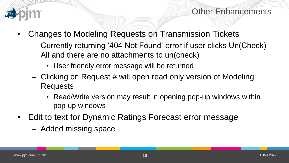

Other Enhancements

- Changes to Modeling Requests on Transmission Tickets
	- Currently returning '404 Not Found' error if user clicks Un(Check) All and there are no attachments to un(check)
		- User friendly error message will be returned
	- Clicking on Request # will open read only version of Modeling Requests
		- Read/Write version may result in opening pop-up windows within pop-up windows
- Edit to text for Dynamic Ratings Forecast error message
	- Added missing space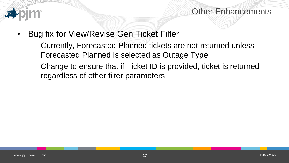

#### Other Enhancements

- Bug fix for View/Revise Gen Ticket Filter
	- Currently, Forecasted Planned tickets are not returned unless Forecasted Planned is selected as Outage Type
	- Change to ensure that if Ticket ID is provided, ticket is returned regardless of other filter parameters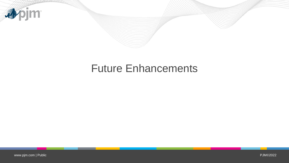

## Future Enhancements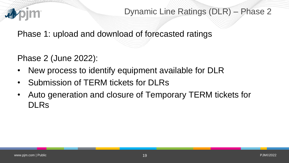

Dynamic Line Ratings (DLR) – Phase 2

Phase 1: upload and download of forecasted ratings

Phase 2 (June 2022):

- New process to identify equipment available for DLR
- Submission of TERM tickets for DLRs
- Auto generation and closure of Temporary TERM tickets for DLRs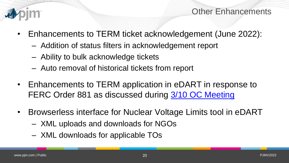

Other Enhancements

- Enhancements to TERM ticket acknowledgement (June 2022):
	- Addition of status filters in acknowledgement report
	- Ability to bulk acknowledge tickets
	- Auto removal of historical tickets from report
- Enhancements to TERM application in eDART in response to FERC Order 881 as discussed during [3/10 OC Meeting](https://pjm.com/-/media/committees-groups/committees/oc/2022/20220310/20220310-item-12-managing-transmission-line-ratings-order-no-881-compliance-filing-rm20-16-000-update.ashx)
- Browserless interface for Nuclear Voltage Limits tool in eDART
	- XML uploads and downloads for NGOs
	- XML downloads for applicable TOs